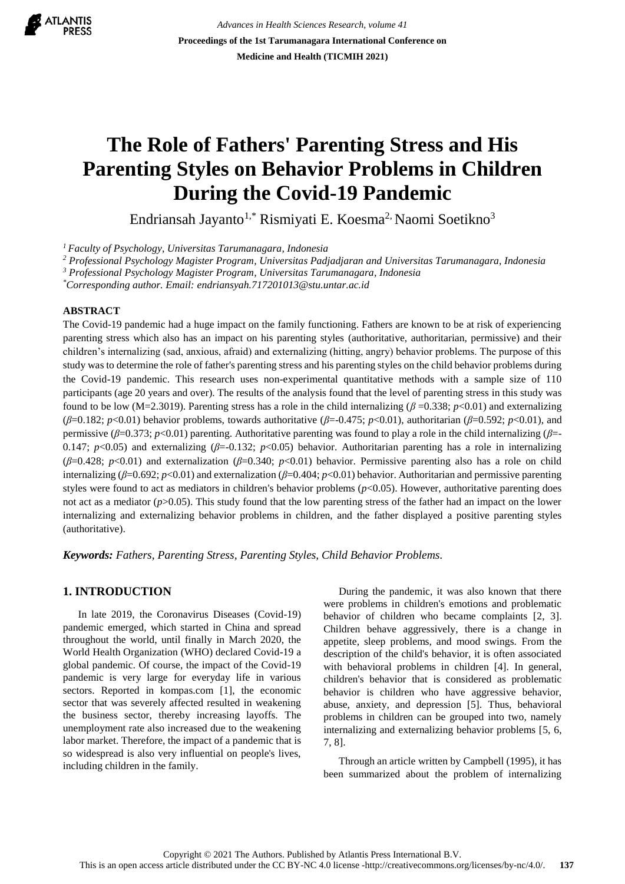

*Advances in Health Sciences Research, volume 41* **Proceedings of the 1st Tarumanagara International Conference on Medicine and Health (TICMIH 2021)**

# **The Role of Fathers' Parenting Stress and His Parenting Styles on Behavior Problems in Children During the Covid-19 Pandemic**

Endriansah Jayanto<sup>1,\*</sup> Rismiyati E. Koesma<sup>2,</sup> Naomi Soetikno<sup>3</sup>

*<sup>1</sup>Faculty of Psychology, Universitas Tarumanagara, Indonesia*

*<sup>2</sup> Professional Psychology Magister Program, Universitas Padjadjaran and Universitas Tarumanagara, Indonesia*

*<sup>3</sup> Professional Psychology Magister Program, Universitas Tarumanagara, Indonesia*

*\*Corresponding author. Email: endriansyah.717201013@stu.untar.ac.id*

#### **ABSTRACT**

The Covid-19 pandemic had a huge impact on the family functioning. Fathers are known to be at risk of experiencing parenting stress which also has an impact on his parenting styles (authoritative, authoritarian, permissive) and their children's internalizing (sad, anxious, afraid) and externalizing (hitting, angry) behavior problems. The purpose of this study was to determine the role of father's parenting stress and his parenting styles on the child behavior problems during the Covid-19 pandemic. This research uses non-experimental quantitative methods with a sample size of 110 participants (age 20 years and over). The results of the analysis found that the level of parenting stress in this study was found to be low (M=2.3019). Parenting stress has a role in the child internalizing ( $\beta$  =0.338;  $p$ <0.01) and externalizing (*β*=0.182; *p*<0.01) behavior problems, towards authoritative (*β*=-0.475; *p*<0.01), authoritarian (*β*=0.592; *p*<0.01), and permissive (*β*=0.373; *p*<0.01) parenting. Authoritative parenting was found to play a role in the child internalizing (*β*=- 0.147; *p*<0.05) and externalizing (*β*=-0.132; *p*<0.05) behavior. Authoritarian parenting has a role in internalizing (*β*=0.428; *p*<0.01) and externalization (*β*=0.340; *p*<0.01) behavior. Permissive parenting also has a role on child internalizing ( $\beta$ =0.692;  $p$ <0.01) and externalization ( $\beta$ =0.404;  $p$ <0.01) behavior. Authoritarian and permissive parenting styles were found to act as mediators in children's behavior problems ( $p$ <0.05). However, authoritative parenting does not act as a mediator (*p*>0.05). This study found that the low parenting stress of the father had an impact on the lower internalizing and externalizing behavior problems in children, and the father displayed a positive parenting styles (authoritative).

*Keywords: Fathers, Parenting Stress, Parenting Styles, Child Behavior Problems.*

# **1. INTRODUCTION**

In late 2019, the Coronavirus Diseases (Covid-19) pandemic emerged, which started in China and spread throughout the world, until finally in March 2020, the World Health Organization (WHO) declared Covid-19 a global pandemic. Of course, the impact of the Covid-19 pandemic is very large for everyday life in various sectors. Reported in kompas.com [1], the economic sector that was severely affected resulted in weakening the business sector, thereby increasing layoffs. The unemployment rate also increased due to the weakening labor market. Therefore, the impact of a pandemic that is so widespread is also very influential on people's lives, including children in the family.

During the pandemic, it was also known that there were problems in children's emotions and problematic behavior of children who became complaints [2, 3]. Children behave aggressively, there is a change in appetite, sleep problems, and mood swings. From the description of the child's behavior, it is often associated with behavioral problems in children [4]. In general, children's behavior that is considered as problematic behavior is children who have aggressive behavior, abuse, anxiety, and depression [5]. Thus, behavioral problems in children can be grouped into two, namely internalizing and externalizing behavior problems [5, 6, 7, 8].

Through an article written by Campbell (1995), it has been summarized about the problem of internalizing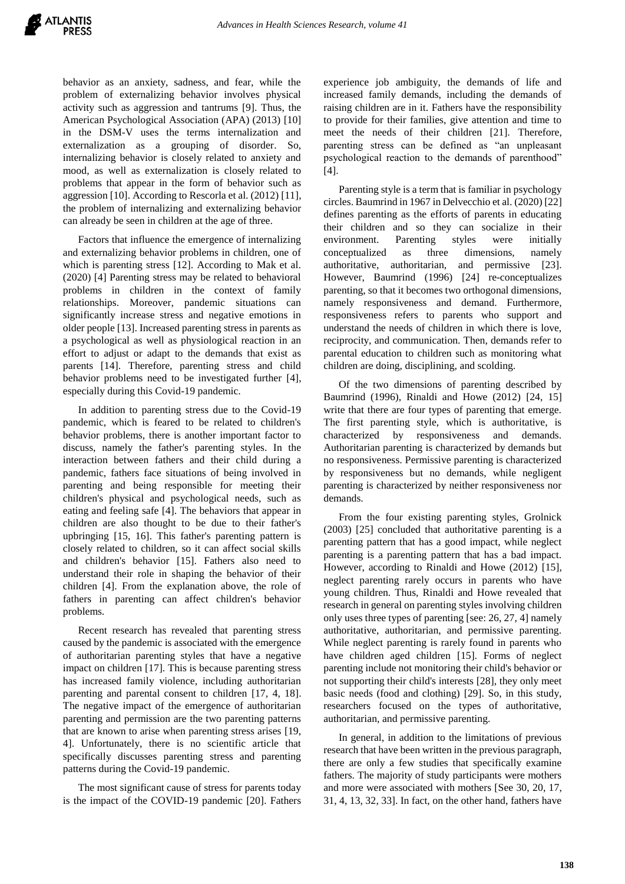behavior as an anxiety, sadness, and fear, while the problem of externalizing behavior involves physical activity such as aggression and tantrums [9]. Thus, the American Psychological Association (APA) (2013) [10] in the DSM-V uses the terms internalization and externalization as a grouping of disorder. So, internalizing behavior is closely related to anxiety and mood, as well as externalization is closely related to problems that appear in the form of behavior such as aggression [10]. According to Rescorla et al. (2012) [11], the problem of internalizing and externalizing behavior can already be seen in children at the age of three.

Factors that influence the emergence of internalizing and externalizing behavior problems in children, one of which is parenting stress [12]. According to Mak et al. (2020) [4] Parenting stress may be related to behavioral problems in children in the context of family relationships. Moreover, pandemic situations can significantly increase stress and negative emotions in older people [13]. Increased parenting stress in parents as a psychological as well as physiological reaction in an effort to adjust or adapt to the demands that exist as parents [14]. Therefore, parenting stress and child behavior problems need to be investigated further [4], especially during this Covid-19 pandemic.

In addition to parenting stress due to the Covid-19 pandemic, which is feared to be related to children's behavior problems, there is another important factor to discuss, namely the father's parenting styles. In the interaction between fathers and their child during a pandemic, fathers face situations of being involved in parenting and being responsible for meeting their children's physical and psychological needs, such as eating and feeling safe [4]. The behaviors that appear in children are also thought to be due to their father's upbringing [15, 16]. This father's parenting pattern is closely related to children, so it can affect social skills and children's behavior [15]. Fathers also need to understand their role in shaping the behavior of their children [4]. From the explanation above, the role of fathers in parenting can affect children's behavior problems.

Recent research has revealed that parenting stress caused by the pandemic is associated with the emergence of authoritarian parenting styles that have a negative impact on children [17]. This is because parenting stress has increased family violence, including authoritarian parenting and parental consent to children [17, 4, 18]. The negative impact of the emergence of authoritarian parenting and permission are the two parenting patterns that are known to arise when parenting stress arises [19, 4]. Unfortunately, there is no scientific article that specifically discusses parenting stress and parenting patterns during the Covid-19 pandemic.

The most significant cause of stress for parents today is the impact of the COVID-19 pandemic [20]. Fathers

experience job ambiguity, the demands of life and increased family demands, including the demands of raising children are in it. Fathers have the responsibility to provide for their families, give attention and time to meet the needs of their children [21]. Therefore, parenting stress can be defined as "an unpleasant psychological reaction to the demands of parenthood" [4].

Parenting style is a term that is familiar in psychology circles. Baumrind in 1967 in Delvecchio et al. (2020) [22] defines parenting as the efforts of parents in educating their children and so they can socialize in their environment. Parenting styles were initially conceptualized as three dimensions, namely authoritative, authoritarian, and permissive [23]. However, Baumrind (1996) [24] re-conceptualizes parenting, so that it becomes two orthogonal dimensions, namely responsiveness and demand. Furthermore, responsiveness refers to parents who support and understand the needs of children in which there is love, reciprocity, and communication. Then, demands refer to parental education to children such as monitoring what children are doing, disciplining, and scolding.

Of the two dimensions of parenting described by Baumrind (1996), Rinaldi and Howe (2012) [24, 15] write that there are four types of parenting that emerge. The first parenting style, which is authoritative, is characterized by responsiveness and demands. Authoritarian parenting is characterized by demands but no responsiveness. Permissive parenting is characterized by responsiveness but no demands, while negligent parenting is characterized by neither responsiveness nor demands.

From the four existing parenting styles, Grolnick (2003) [25] concluded that authoritative parenting is a parenting pattern that has a good impact, while neglect parenting is a parenting pattern that has a bad impact. However, according to Rinaldi and Howe (2012) [15], neglect parenting rarely occurs in parents who have young children. Thus, Rinaldi and Howe revealed that research in general on parenting styles involving children only uses three types of parenting [see: 26, 27, 4] namely authoritative, authoritarian, and permissive parenting. While neglect parenting is rarely found in parents who have children aged children [15]. Forms of neglect parenting include not monitoring their child's behavior or not supporting their child's interests [28], they only meet basic needs (food and clothing) [29]. So, in this study, researchers focused on the types of authoritative, authoritarian, and permissive parenting.

In general, in addition to the limitations of previous research that have been written in the previous paragraph, there are only a few studies that specifically examine fathers. The majority of study participants were mothers and more were associated with mothers [See 30, 20, 17, 31, 4, 13, 32, 33]. In fact, on the other hand, fathers have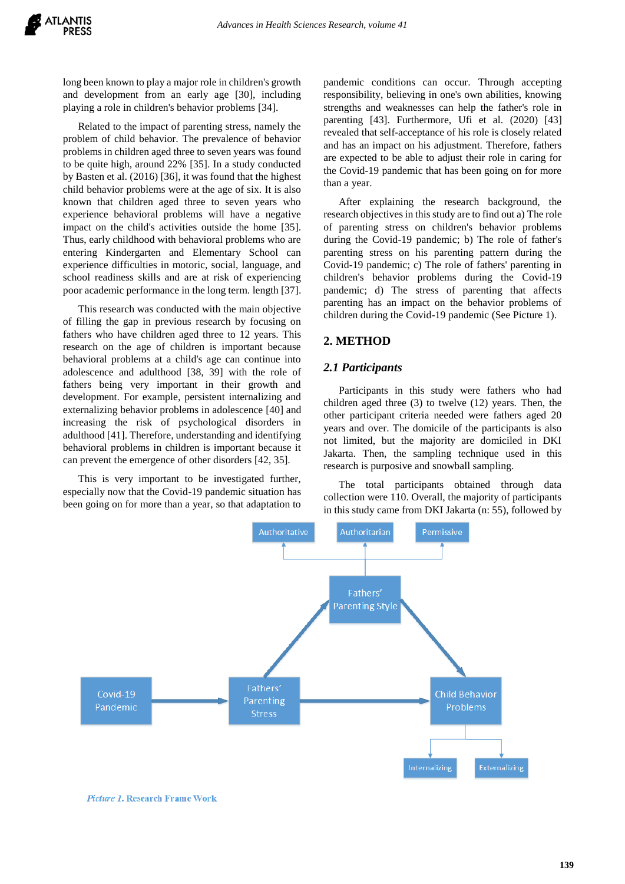long been known to play a major role in children's growth and development from an early age [30], including playing a role in children's behavior problems [34].

Related to the impact of parenting stress, namely the problem of child behavior. The prevalence of behavior problems in children aged three to seven years was found to be quite high, around 22% [35]. In a study conducted by Basten et al. (2016) [36], it was found that the highest child behavior problems were at the age of six. It is also known that children aged three to seven years who experience behavioral problems will have a negative impact on the child's activities outside the home [35]. Thus, early childhood with behavioral problems who are entering Kindergarten and Elementary School can experience difficulties in motoric, social, language, and school readiness skills and are at risk of experiencing poor academic performance in the long term. length [37].

This research was conducted with the main objective of filling the gap in previous research by focusing on fathers who have children aged three to 12 years. This research on the age of children is important because behavioral problems at a child's age can continue into adolescence and adulthood [38, 39] with the role of fathers being very important in their growth and development. For example, persistent internalizing and externalizing behavior problems in adolescence [40] and increasing the risk of psychological disorders in adulthood [41]. Therefore, understanding and identifying behavioral problems in children is important because it can prevent the emergence of other disorders [42, 35].

This is very important to be investigated further, especially now that the Covid-19 pandemic situation has been going on for more than a year, so that adaptation to pandemic conditions can occur. Through accepting responsibility, believing in one's own abilities, knowing strengths and weaknesses can help the father's role in parenting [43]. Furthermore, Ufi et al. (2020) [43] revealed that self-acceptance of his role is closely related and has an impact on his adjustment. Therefore, fathers are expected to be able to adjust their role in caring for the Covid-19 pandemic that has been going on for more than a year.

After explaining the research background, the research objectives in this study are to find out a) The role of parenting stress on children's behavior problems during the Covid-19 pandemic; b) The role of father's parenting stress on his parenting pattern during the Covid-19 pandemic; c) The role of fathers' parenting in children's behavior problems during the Covid-19 pandemic; d) The stress of parenting that affects parenting has an impact on the behavior problems of children during the Covid-19 pandemic (See Picture 1).

# **2. METHOD**

#### *2.1 Participants*

Participants in this study were fathers who had children aged three (3) to twelve (12) years. Then, the other participant criteria needed were fathers aged 20 years and over. The domicile of the participants is also not limited, but the majority are domiciled in DKI Jakarta. Then, the sampling technique used in this research is purposive and snowball sampling.

The total participants obtained through data collection were 110. Overall, the majority of participants in this study came from DKI Jakarta (n: 55), followed by



Picture 1. Research Frame Work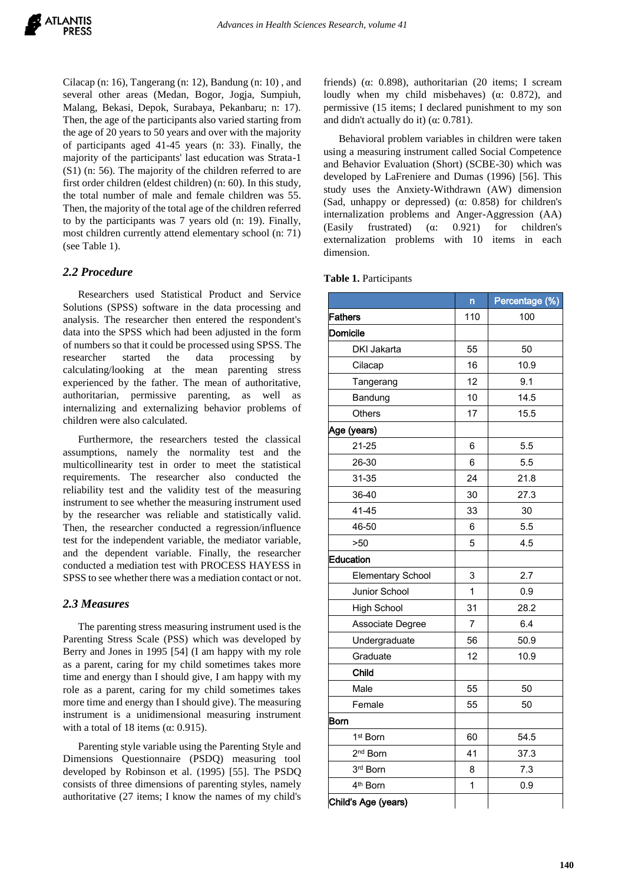Cilacap (n: 16), Tangerang (n: 12), Bandung (n: 10) , and several other areas (Medan, Bogor, Jogja, Sumpiuh, Malang, Bekasi, Depok, Surabaya, Pekanbaru; n: 17). Then, the age of the participants also varied starting from the age of 20 years to 50 years and over with the majority of participants aged 41-45 years (n: 33). Finally, the majority of the participants' last education was Strata-1 (S1) (n: 56). The majority of the children referred to are first order children (eldest children) (n: 60). In this study, the total number of male and female children was 55. Then, the majority of the total age of the children referred to by the participants was 7 years old (n: 19). Finally, most children currently attend elementary school (n: 71) (see Table 1).

## *2.2 Procedure*

Researchers used Statistical Product and Service Solutions (SPSS) software in the data processing and analysis. The researcher then entered the respondent's data into the SPSS which had been adjusted in the form of numbers so that it could be processed using SPSS. The researcher started the data processing by calculating/looking at the mean parenting stress experienced by the father. The mean of authoritative, authoritarian, permissive parenting, as well as internalizing and externalizing behavior problems of children were also calculated.

Furthermore, the researchers tested the classical assumptions, namely the normality test and the multicollinearity test in order to meet the statistical requirements. The researcher also conducted the reliability test and the validity test of the measuring instrument to see whether the measuring instrument used by the researcher was reliable and statistically valid. Then, the researcher conducted a regression/influence test for the independent variable, the mediator variable, and the dependent variable. Finally, the researcher conducted a mediation test with PROCESS HAYESS in SPSS to see whether there was a mediation contact or not.

# *2.3 Measures*

The parenting stress measuring instrument used is the Parenting Stress Scale (PSS) which was developed by Berry and Jones in 1995 [54] (I am happy with my role as a parent, caring for my child sometimes takes more time and energy than I should give, I am happy with my role as a parent, caring for my child sometimes takes more time and energy than I should give). The measuring instrument is a unidimensional measuring instrument with a total of 18 items ( $\alpha$ : 0.915).

Parenting style variable using the Parenting Style and Dimensions Questionnaire (PSDQ) measuring tool developed by Robinson et al. (1995) [55]. The PSDQ consists of three dimensions of parenting styles, namely authoritative (27 items; I know the names of my child's

friends) (α: 0.898), authoritarian (20 items; I scream loudly when my child misbehaves) (α: 0.872), and permissive (15 items; I declared punishment to my son and didn't actually do it) ( $\alpha$ : 0.781).

Behavioral problem variables in children were taken using a measuring instrument called Social Competence and Behavior Evaluation (Short) (SCBE-30) which was developed by LaFreniere and Dumas (1996) [56]. This study uses the Anxiety-Withdrawn (AW) dimension (Sad, unhappy or depressed) (α: 0.858) for children's internalization problems and Anger-Aggression (AA) (Easily frustrated) (α: 0.921) for children's externalization problems with 10 items in each dimension.

**Table 1.** Participants

|                          | n   | Percentage (%) |  |
|--------------------------|-----|----------------|--|
| Fathers                  | 110 | 100            |  |
| <b>Domicile</b>          |     |                |  |
| <b>DKI Jakarta</b>       | 55  | 50             |  |
| Cilacap                  | 16  | 10.9           |  |
| Tangerang                | 12  | 9.1            |  |
| Bandung                  | 10  | 14.5           |  |
| Others                   | 17  | 15.5           |  |
| Age (years)              |     |                |  |
| $21 - 25$                | 6   | 5.5            |  |
| 26-30                    | 6   | 5.5            |  |
| 31-35                    | 24  | 21.8           |  |
| 36-40                    | 30  | 27.3           |  |
| $41 - 45$                | 33  | 30             |  |
| 46-50                    | 6   | 5.5            |  |
| $>50$                    | 5   | 4.5            |  |
| Education                |     |                |  |
| <b>Elementary School</b> | 3   | 2.7            |  |
| Junior School            | 1   | 0.9            |  |
| <b>High School</b>       | 31  | 28.2           |  |
| Associate Degree         | 7   | 6.4            |  |
| Undergraduate            | 56  | 50.9           |  |
| Graduate                 | 12  | 10.9           |  |
| Child                    |     |                |  |
| Male                     | 55  | 50             |  |
| Female                   | 55  | 50             |  |
| Born                     |     |                |  |
| 1 <sup>st</sup> Born     | 60  | 54.5           |  |
| 2 <sup>nd</sup> Born     | 41  | 37.3           |  |
| 3rd Born                 | 8   | 7.3            |  |
| 4 <sup>th</sup> Born     | 1   | 0.9            |  |
| Child's Age (years)      |     |                |  |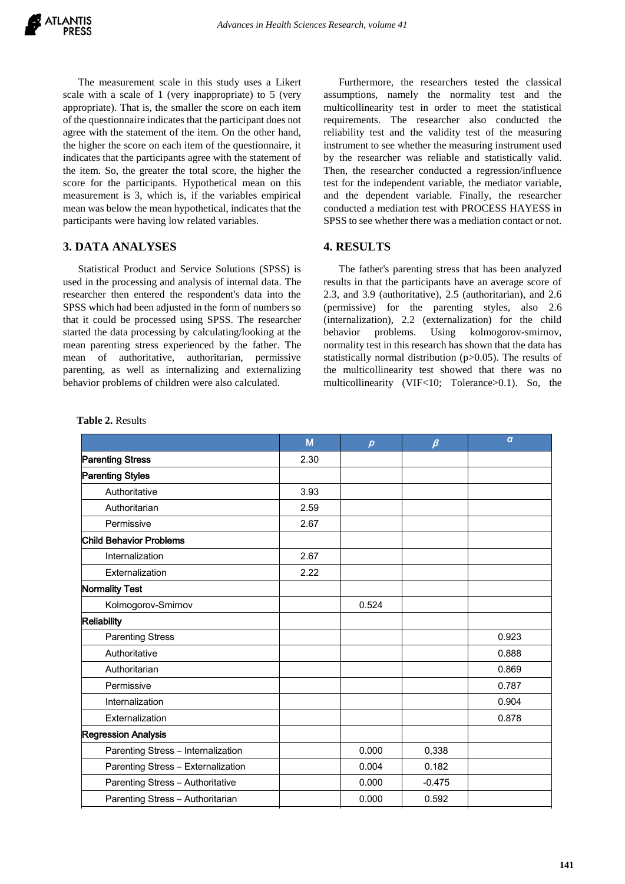The measurement scale in this study uses a Likert scale with a scale of 1 (very inappropriate) to 5 (very appropriate). That is, the smaller the score on each item of the questionnaire indicates that the participant does not agree with the statement of the item. On the other hand, the higher the score on each item of the questionnaire, it indicates that the participants agree with the statement of the item. So, the greater the total score, the higher the score for the participants. Hypothetical mean on this measurement is 3, which is, if the variables empirical mean was below the mean hypothetical, indicates that the participants were having low related variables.

# **3. DATA ANALYSES**

Statistical Product and Service Solutions (SPSS) is used in the processing and analysis of internal data. The researcher then entered the respondent's data into the SPSS which had been adjusted in the form of numbers so that it could be processed using SPSS. The researcher started the data processing by calculating/looking at the mean parenting stress experienced by the father. The mean of authoritative, authoritarian, permissive parenting, as well as internalizing and externalizing behavior problems of children were also calculated.

Furthermore, the researchers tested the classical assumptions, namely the normality test and the multicollinearity test in order to meet the statistical requirements. The researcher also conducted the reliability test and the validity test of the measuring instrument to see whether the measuring instrument used by the researcher was reliable and statistically valid. Then, the researcher conducted a regression/influence test for the independent variable, the mediator variable, and the dependent variable. Finally, the researcher conducted a mediation test with PROCESS HAYESS in SPSS to see whether there was a mediation contact or not.

# **4. RESULTS**

The father's parenting stress that has been analyzed results in that the participants have an average score of 2.3, and 3.9 (authoritative), 2.5 (authoritarian), and 2.6 (permissive) for the parenting styles, also 2.6 (internalization), 2.2 (externalization) for the child behavior problems. Using kolmogorov-smirnov, normality test in this research has shown that the data has statistically normal distribution (p>0.05). The results of the multicollinearity test showed that there was no multicollinearity (VIF<10; Tolerance>0.1). So, the

|                                    | M    | $\boldsymbol{\rho}$ | $\beta$  | $\boldsymbol{a}$ |
|------------------------------------|------|---------------------|----------|------------------|
| <b>Parenting Stress</b>            | 2.30 |                     |          |                  |
| <b>Parenting Styles</b>            |      |                     |          |                  |
| Authoritative                      | 3.93 |                     |          |                  |
| Authoritarian                      | 2.59 |                     |          |                  |
| Permissive                         | 2.67 |                     |          |                  |
| <b>Child Behavior Problems</b>     |      |                     |          |                  |
| Internalization                    | 2.67 |                     |          |                  |
| Externalization                    | 2.22 |                     |          |                  |
| Normality Test                     |      |                     |          |                  |
| Kolmogorov-Smirnov                 |      | 0.524               |          |                  |
| <b>Reliability</b>                 |      |                     |          |                  |
| <b>Parenting Stress</b>            |      |                     |          | 0.923            |
| Authoritative                      |      |                     |          | 0.888            |
| Authoritarian                      |      |                     |          | 0.869            |
| Permissive                         |      |                     |          | 0.787            |
| Internalization                    |      |                     |          | 0.904            |
| Externalization                    |      |                     |          | 0.878            |
| <b>Regression Analysis</b>         |      |                     |          |                  |
| Parenting Stress - Internalization |      | 0.000               | 0,338    |                  |
| Parenting Stress - Externalization |      | 0.004               | 0.182    |                  |
| Parenting Stress - Authoritative   |      | 0.000               | $-0.475$ |                  |
| Parenting Stress - Authoritarian   |      | 0.000               | 0.592    |                  |

**Table 2.** Results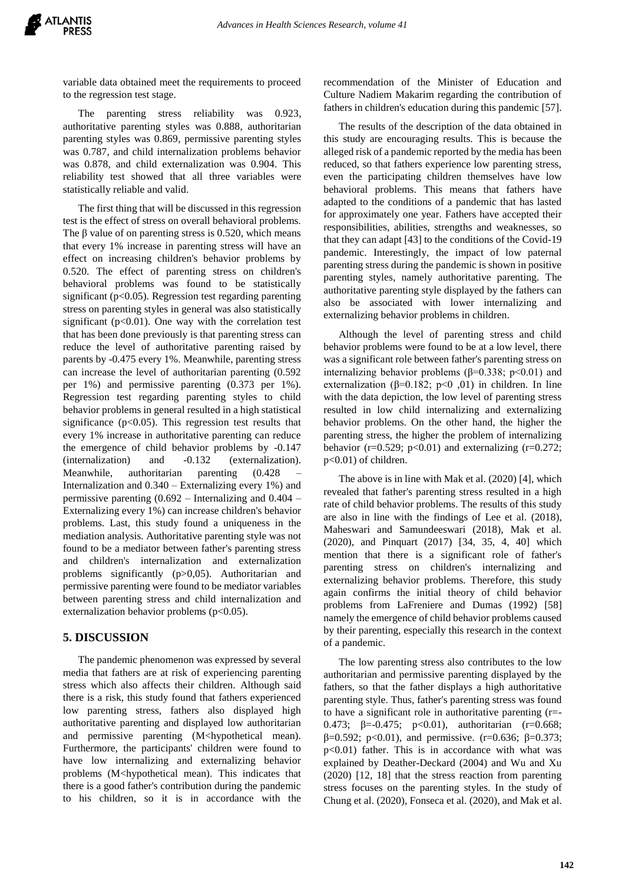

variable data obtained meet the requirements to proceed to the regression test stage.

The parenting stress reliability was 0.923, authoritative parenting styles was 0.888, authoritarian parenting styles was 0.869, permissive parenting styles was 0.787, and child internalization problems behavior was 0.878, and child externalization was 0.904. This reliability test showed that all three variables were statistically reliable and valid.

The first thing that will be discussed in this regression test is the effect of stress on overall behavioral problems. The  $\beta$  value of on parenting stress is 0.520, which means that every 1% increase in parenting stress will have an effect on increasing children's behavior problems by 0.520. The effect of parenting stress on children's behavioral problems was found to be statistically significant ( $p<0.05$ ). Regression test regarding parenting stress on parenting styles in general was also statistically significant ( $p<0.01$ ). One way with the correlation test that has been done previously is that parenting stress can reduce the level of authoritative parenting raised by parents by -0.475 every 1%. Meanwhile, parenting stress can increase the level of authoritarian parenting (0.592 per 1%) and permissive parenting (0.373 per 1%). Regression test regarding parenting styles to child behavior problems in general resulted in a high statistical significance ( $p<0.05$ ). This regression test results that every 1% increase in authoritative parenting can reduce the emergence of child behavior problems by -0.147 (internalization) and -0.132 (externalization). Meanwhile, authoritarian parenting (0.428) Internalization and 0.340 – Externalizing every 1%) and permissive parenting (0.692 – Internalizing and 0.404 – Externalizing every 1%) can increase children's behavior problems. Last, this study found a uniqueness in the mediation analysis. Authoritative parenting style was not found to be a mediator between father's parenting stress and children's internalization and externalization problems significantly (p>0,05). Authoritarian and permissive parenting were found to be mediator variables between parenting stress and child internalization and externalization behavior problems  $(p<0.05)$ .

## **5. DISCUSSION**

The pandemic phenomenon was expressed by several media that fathers are at risk of experiencing parenting stress which also affects their children. Although said there is a risk, this study found that fathers experienced low parenting stress, fathers also displayed high authoritative parenting and displayed low authoritarian and permissive parenting (M<hypothetical mean). Furthermore, the participants' children were found to have low internalizing and externalizing behavior problems (M<hypothetical mean). This indicates that there is a good father's contribution during the pandemic to his children, so it is in accordance with the

recommendation of the Minister of Education and Culture Nadiem Makarim regarding the contribution of fathers in children's education during this pandemic [57].

The results of the description of the data obtained in this study are encouraging results. This is because the alleged risk of a pandemic reported by the media has been reduced, so that fathers experience low parenting stress, even the participating children themselves have low behavioral problems. This means that fathers have adapted to the conditions of a pandemic that has lasted for approximately one year. Fathers have accepted their responsibilities, abilities, strengths and weaknesses, so that they can adapt [43] to the conditions of the Covid-19 pandemic. Interestingly, the impact of low paternal parenting stress during the pandemic is shown in positive parenting styles, namely authoritative parenting. The authoritative parenting style displayed by the fathers can also be associated with lower internalizing and externalizing behavior problems in children.

Although the level of parenting stress and child behavior problems were found to be at a low level, there was a significant role between father's parenting stress on internalizing behavior problems ( $\beta$ =0.338; p<0.01) and externalization (β=0.182; p<0 ,01) in children. In line with the data depiction, the low level of parenting stress resulted in low child internalizing and externalizing behavior problems. On the other hand, the higher the parenting stress, the higher the problem of internalizing behavior ( $r=0.529$ ;  $p<0.01$ ) and externalizing ( $r=0.272$ ; p<0.01) of children.

The above is in line with Mak et al. (2020) [4], which revealed that father's parenting stress resulted in a high rate of child behavior problems. The results of this study are also in line with the findings of Lee et al. (2018), Maheswari and Samundeeswari (2018), Mak et al. (2020), and Pinquart (2017) [34, 35, 4, 40] which mention that there is a significant role of father's parenting stress on children's internalizing and externalizing behavior problems. Therefore, this study again confirms the initial theory of child behavior problems from LaFreniere and Dumas (1992) [58] namely the emergence of child behavior problems caused by their parenting, especially this research in the context of a pandemic.

The low parenting stress also contributes to the low authoritarian and permissive parenting displayed by the fathers, so that the father displays a high authoritative parenting style. Thus, father's parenting stress was found to have a significant role in authoritative parenting (r=- 0.473;  $β=-0.475$ ;  $p<0.01$ ), authoritarian (r=0.668;  $β=0.592$ ; p<0.01), and permissive. (r=0.636; β=0.373; p<0.01) father. This is in accordance with what was explained by Deather-Deckard (2004) and Wu and Xu (2020) [12, 18] that the stress reaction from parenting stress focuses on the parenting styles. In the study of Chung et al. (2020), Fonseca et al. (2020), and Mak et al.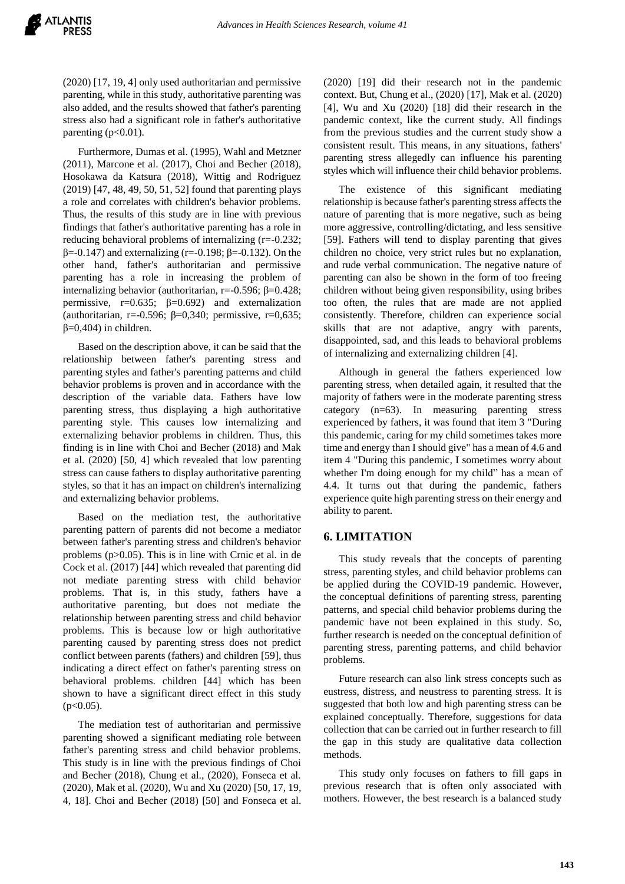(2020) [17, 19, 4] only used authoritarian and permissive parenting, while in this study, authoritative parenting was also added, and the results showed that father's parenting stress also had a significant role in father's authoritative parenting  $(p<0.01)$ .

Furthermore, Dumas et al. (1995), Wahl and Metzner (2011), Marcone et al. (2017), Choi and Becher (2018), Hosokawa da Katsura (2018), Wittig and Rodriguez (2019) [47, 48, 49, 50, 51, 52] found that parenting plays a role and correlates with children's behavior problems. Thus, the results of this study are in line with previous findings that father's authoritative parenting has a role in reducing behavioral problems of internalizing (r=-0.232;  $β=0.147$ ) and externalizing (r=-0.198; β=-0.132). On the other hand, father's authoritarian and permissive parenting has a role in increasing the problem of internalizing behavior (authoritarian,  $r = -0.596$ ;  $β = 0.428$ ; permissive,  $r=0.635$ ;  $\beta=0.692$ ) and externalization (authoritarian, r=-0.596; β=0,340; permissive, r=0,635;  $β=0,404)$  in children.

Based on the description above, it can be said that the relationship between father's parenting stress and parenting styles and father's parenting patterns and child behavior problems is proven and in accordance with the description of the variable data. Fathers have low parenting stress, thus displaying a high authoritative parenting style. This causes low internalizing and externalizing behavior problems in children. Thus, this finding is in line with Choi and Becher (2018) and Mak et al. (2020) [50, 4] which revealed that low parenting stress can cause fathers to display authoritative parenting styles, so that it has an impact on children's internalizing and externalizing behavior problems.

Based on the mediation test, the authoritative parenting pattern of parents did not become a mediator between father's parenting stress and children's behavior problems (p>0.05). This is in line with Crnic et al. in de Cock et al. (2017) [44] which revealed that parenting did not mediate parenting stress with child behavior problems. That is, in this study, fathers have a authoritative parenting, but does not mediate the relationship between parenting stress and child behavior problems. This is because low or high authoritative parenting caused by parenting stress does not predict conflict between parents (fathers) and children [59], thus indicating a direct effect on father's parenting stress on behavioral problems. children [44] which has been shown to have a significant direct effect in this study  $(p<0.05)$ .

The mediation test of authoritarian and permissive parenting showed a significant mediating role between father's parenting stress and child behavior problems. This study is in line with the previous findings of Choi and Becher (2018), Chung et al., (2020), Fonseca et al. (2020), Mak et al. (2020), Wu and Xu (2020) [50, 17, 19, 4, 18]. Choi and Becher (2018) [50] and Fonseca et al.

(2020) [19] did their research not in the pandemic context. But, Chung et al., (2020) [17], Mak et al. (2020) [4], Wu and Xu (2020) [18] did their research in the pandemic context, like the current study. All findings from the previous studies and the current study show a consistent result. This means, in any situations, fathers' parenting stress allegedly can influence his parenting styles which will influence their child behavior problems.

The existence of this significant mediating relationship is because father's parenting stress affects the nature of parenting that is more negative, such as being more aggressive, controlling/dictating, and less sensitive [59]. Fathers will tend to display parenting that gives children no choice, very strict rules but no explanation, and rude verbal communication. The negative nature of parenting can also be shown in the form of too freeing children without being given responsibility, using bribes too often, the rules that are made are not applied consistently. Therefore, children can experience social skills that are not adaptive, angry with parents, disappointed, sad, and this leads to behavioral problems of internalizing and externalizing children [4].

Although in general the fathers experienced low parenting stress, when detailed again, it resulted that the majority of fathers were in the moderate parenting stress category (n=63). In measuring parenting stress experienced by fathers, it was found that item 3 "During this pandemic, caring for my child sometimes takes more time and energy than I should give" has a mean of 4.6 and item 4 "During this pandemic, I sometimes worry about whether I'm doing enough for my child" has a mean of 4.4. It turns out that during the pandemic, fathers experience quite high parenting stress on their energy and ability to parent.

## **6. LIMITATION**

This study reveals that the concepts of parenting stress, parenting styles, and child behavior problems can be applied during the COVID-19 pandemic. However, the conceptual definitions of parenting stress, parenting patterns, and special child behavior problems during the pandemic have not been explained in this study. So, further research is needed on the conceptual definition of parenting stress, parenting patterns, and child behavior problems.

Future research can also link stress concepts such as eustress, distress, and neustress to parenting stress. It is suggested that both low and high parenting stress can be explained conceptually. Therefore, suggestions for data collection that can be carried out in further research to fill the gap in this study are qualitative data collection methods.

This study only focuses on fathers to fill gaps in previous research that is often only associated with mothers. However, the best research is a balanced study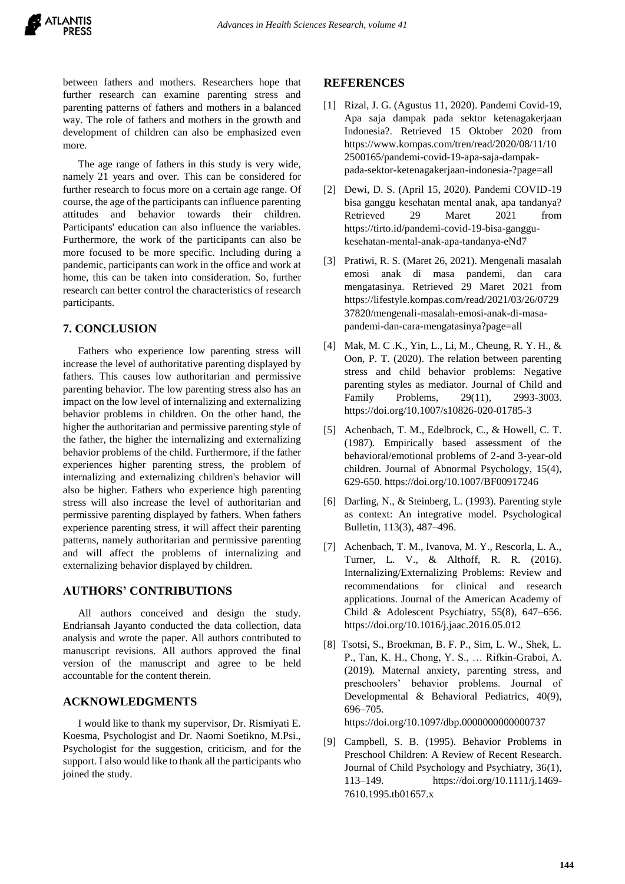

between fathers and mothers. Researchers hope that further research can examine parenting stress and parenting patterns of fathers and mothers in a balanced way. The role of fathers and mothers in the growth and development of children can also be emphasized even more.

The age range of fathers in this study is very wide, namely 21 years and over. This can be considered for further research to focus more on a certain age range. Of course, the age of the participants can influence parenting attitudes and behavior towards their children. Participants' education can also influence the variables. Furthermore, the work of the participants can also be more focused to be more specific. Including during a pandemic, participants can work in the office and work at home, this can be taken into consideration. So, further research can better control the characteristics of research participants.

# **7. CONCLUSION**

Fathers who experience low parenting stress will increase the level of authoritative parenting displayed by fathers. This causes low authoritarian and permissive parenting behavior. The low parenting stress also has an impact on the low level of internalizing and externalizing behavior problems in children. On the other hand, the higher the authoritarian and permissive parenting style of the father, the higher the internalizing and externalizing behavior problems of the child. Furthermore, if the father experiences higher parenting stress, the problem of internalizing and externalizing children's behavior will also be higher. Fathers who experience high parenting stress will also increase the level of authoritarian and permissive parenting displayed by fathers. When fathers experience parenting stress, it will affect their parenting patterns, namely authoritarian and permissive parenting and will affect the problems of internalizing and externalizing behavior displayed by children.

## **AUTHORS' CONTRIBUTIONS**

All authors conceived and design the study. Endriansah Jayanto conducted the data collection, data analysis and wrote the paper. All authors contributed to manuscript revisions. All authors approved the final version of the manuscript and agree to be held accountable for the content therein.

## **ACKNOWLEDGMENTS**

I would like to thank my supervisor, Dr. Rismiyati E. Koesma, Psychologist and Dr. Naomi Soetikno, M.Psi., Psychologist for the suggestion, criticism, and for the support. I also would like to thank all the participants who joined the study.

#### **REFERENCES**

- [1] Rizal, J. G. (Agustus 11, 2020). Pandemi Covid-19, Apa saja dampak pada sektor ketenagakerjaan Indonesia?. Retrieved 15 Oktober 2020 from https://www.kompas.com/tren/read/2020/08/11/10 2500165/pandemi-covid-19-apa-saja-dampakpada-sektor-ketenagakerjaan-indonesia-?page=all
- [2] Dewi, D. S. (April 15, 2020). Pandemi COVID-19 bisa ganggu kesehatan mental anak, apa tandanya? Retrieved 29 Maret 2021 from https://tirto.id/pandemi-covid-19-bisa-ganggukesehatan-mental-anak-apa-tandanya-eNd7
- [3] Pratiwi, R. S. (Maret 26, 2021). Mengenali masalah emosi anak di masa pandemi, dan cara mengatasinya. Retrieved 29 Maret 2021 from https://lifestyle.kompas.com/read/2021/03/26/0729 37820/mengenali-masalah-emosi-anak-di-masapandemi-dan-cara-mengatasinya?page=all
- [4] Mak, M. C .K., Yin, L., Li, M., Cheung, R. Y. H., & Oon, P. T. (2020). The relation between parenting stress and child behavior problems: Negative parenting styles as mediator. Journal of Child and Family Problems. 29(11), 2993-3003. https://doi.org/10.1007/s10826-020-01785-3
- [5] Achenbach, T. M., Edelbrock, C., & Howell, C. T. (1987). Empirically based assessment of the behavioral/emotional problems of 2-and 3-year-old children. Journal of Abnormal Psychology, 15(4), 629-650. https://doi.org/10.1007/BF00917246
- [6] Darling, N., & Steinberg, L. (1993). Parenting style as context: An integrative model. Psychological Bulletin, 113(3), 487–496.
- [7] Achenbach, T. M., Ivanova, M. Y., Rescorla, L. A., Turner, L. V., & Althoff, R. R. (2016). Internalizing/Externalizing Problems: Review and recommendations for clinical and research applications. Journal of the American Academy of Child & Adolescent Psychiatry, 55(8), 647–656. https://doi.org/10.1016/j.jaac.2016.05.012
- [8] Tsotsi, S., Broekman, B. F. P., Sim, L. W., Shek, L. P., Tan, K. H., Chong, Y. S., … Rifkin-Graboi, A. (2019). Maternal anxiety, parenting stress, and preschoolers' behavior problems. Journal of Developmental & Behavioral Pediatrics, 40(9), 696–705.

https://doi.org/10.1097/dbp.0000000000000737

[9] Campbell, S. B. (1995). Behavior Problems in Preschool Children: A Review of Recent Research. Journal of Child Psychology and Psychiatry, 36(1), 113–149. https://doi.org/10.1111/j.1469- 7610.1995.tb01657.x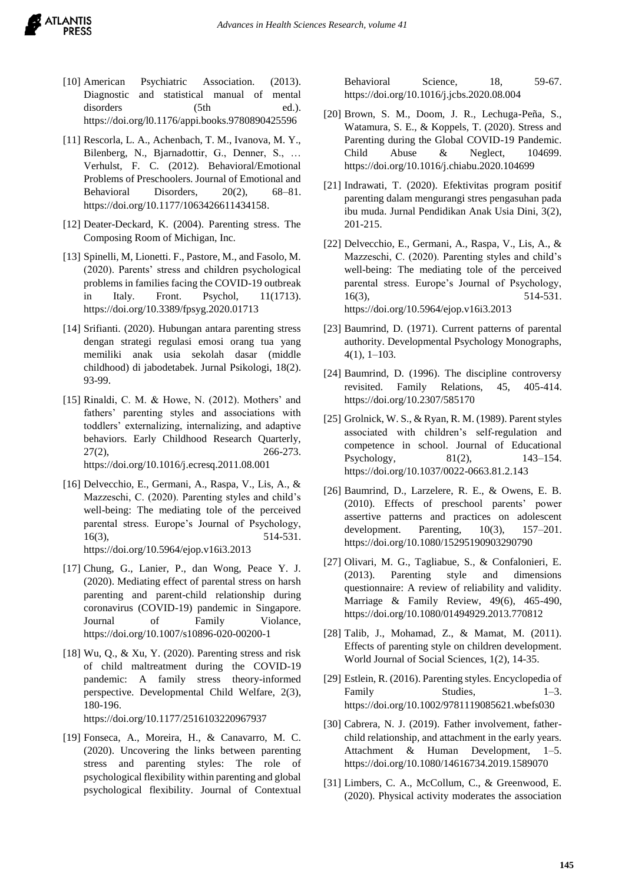- [10] American Psychiatric Association. (2013). Diagnostic and statistical manual of mental disorders (5th ed.). https://doi.org/l0.1176/appi.books.9780890425596
- [11] Rescorla, L. A., Achenbach, T. M., Ivanova, M. Y., Bilenberg, N., Bjarnadottir, G., Denner, S., … Verhulst, F. C. (2012). Behavioral/Emotional Problems of Preschoolers. Journal of Emotional and Behavioral Disorders, 20(2), 68–81. https://doi.org/10.1177/1063426611434158.
- [12] Deater-Deckard, K. (2004). Parenting stress. The Composing Room of Michigan, Inc.
- [13] Spinelli, M, Lionetti. F., Pastore, M., and Fasolo, M. (2020). Parents' stress and children psychological problems in families facing the COVID-19 outbreak in Italy. Front. Psychol, 11(1713). <https://doi.org/10.3389/fpsyg.2020.01713>
- [14] Srifianti. (2020). Hubungan antara parenting stress dengan strategi regulasi emosi orang tua yang memiliki anak usia sekolah dasar (middle childhood) di jabodetabek. Jurnal Psikologi, 18(2). 93-99.
- [15] Rinaldi, C. M. & Howe, N. (2012). Mothers' and fathers' parenting styles and associations with toddlers' externalizing, internalizing, and adaptive behaviors. Early Childhood Research Quarterly, 27(2), 266-273. https://doi.org/10.1016/j.ecresq.2011.08.001
- [16] Delvecchio, E., Germani, A., Raspa, V., Lis, A., & Mazzeschi, C. (2020). Parenting styles and child's well-being: The mediating tole of the perceived parental stress. Europe's Journal of Psychology, 16(3), 514-531. https://doi.org/10.5964/ejop.v16i3.2013
- [17] Chung, G., Lanier, P., dan Wong, Peace Y. J. (2020). Mediating effect of parental stress on harsh parenting and parent-child relationship during coronavirus (COVID-19) pandemic in Singapore. Journal of Family Violance, https://doi.org/10.1007/s10896-020-00200-1
- [18] Wu, Q., & Xu, Y. (2020). Parenting stress and risk of child maltreatment during the COVID-19 pandemic: A family stress theory-informed perspective. Developmental Child Welfare, 2(3), 180-196.

https://doi.org/10.1177/2516103220967937

[19] Fonseca, A., Moreira, H., & Canavarro, M. C. (2020). Uncovering the links between parenting stress and parenting styles: The role of psychological flexibility within parenting and global psychological flexibility. Journal of Contextual Behavioral Science, 18, 59-67. https://doi.org/10.1016/j.jcbs.2020.08.004

- [20] Brown, S. M., Doom, J. R., Lechuga-Peña, S., Watamura, S. E., & Koppels, T. (2020). Stress and Parenting during the Global COVID-19 Pandemic. Child Abuse & Neglect, 104699. https://doi.org/10.1016/j.chiabu.2020.104699
- [21] Indrawati, T. (2020). Efektivitas program positif parenting dalam mengurangi stres pengasuhan pada ibu muda. Jurnal Pendidikan Anak Usia Dini, 3(2), 201-215.
- [22] Delvecchio, E., Germani, A., Raspa, V., Lis, A., & Mazzeschi, C. (2020). Parenting styles and child's well-being: The mediating tole of the perceived parental stress. Europe's Journal of Psychology, 16(3), 514-531. https://doi.org/10.5964/ejop.v16i3.2013
- [23] Baumrind, D. (1971). Current patterns of parental authority. Developmental Psychology Monographs, 4(1), 1–103.
- [24] Baumrind, D. (1996). The discipline controversy revisited. Family Relations, 45, 405-414. https://doi.org/10.2307/585170
- [25] Grolnick, W. S., & Ryan, R. M. (1989). Parent styles associated with children's self-regulation and competence in school. Journal of Educational Psychology, 81(2), 143–154. https://doi.org/10.1037/0022-0663.81.2.143
- [26] Baumrind, D., Larzelere, R. E., & Owens, E. B. (2010). Effects of preschool parents' power assertive patterns and practices on adolescent development. Parenting,  $10(3)$ ,  $157-201$ . https://doi.org/10.1080/15295190903290790
- [27] Olivari, M. G., Tagliabue, S., & Confalonieri, E. (2013). Parenting style and dimensions questionnaire: A review of reliability and validity. Marriage & Family Review, 49(6), 465-490, https://doi.org/10.1080/01494929.2013.770812
- [28] Talib, J., Mohamad, Z., & Mamat, M. (2011). Effects of parenting style on children development. World Journal of Social Sciences, 1(2), 14-35.
- [29] Estlein, R. (2016). Parenting styles. Encyclopedia of Family Studies, 1–3. https://doi.org/10.1002/9781119085621.wbefs030
- [30] Cabrera, N. J. (2019). Father involvement, fatherchild relationship, and attachment in the early years. Attachment & Human Development, 1–5. https://doi.org/10.1080/14616734.2019.1589070
- [31] Limbers, C. A., McCollum, C., & Greenwood, E. (2020). Physical activity moderates the association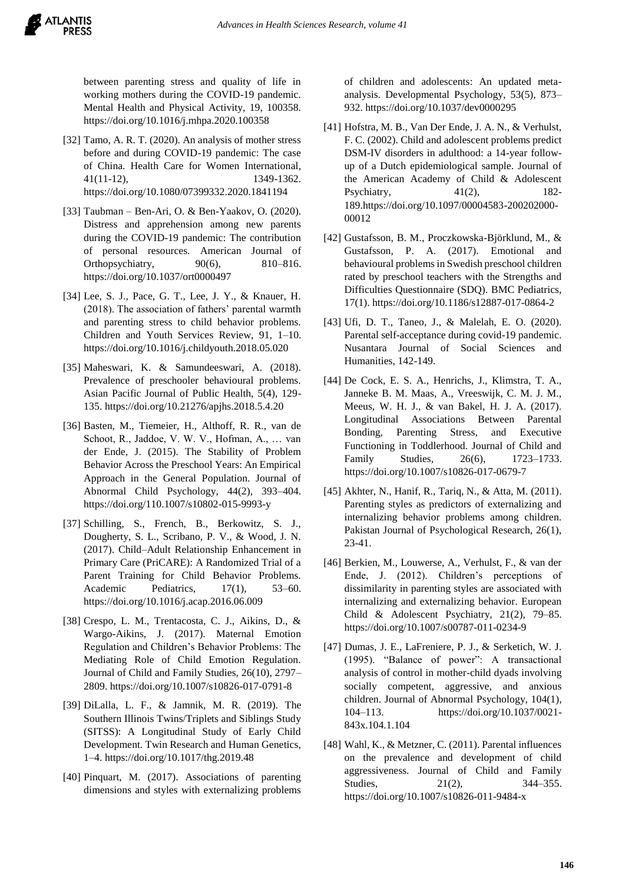between parenting stress and quality of life in working mothers during the COVID-19 pandemic. Mental Health and Physical Activity, 19, 100358. https://doi.org/10.1016/j.mhpa.2020.100358

- [32] Tamo, A. R. T. (2020). An analysis of mother stress before and during COVID-19 pandemic: The case of China. Health Care for Women International, 41(11-12), 1349-1362. https://doi.org/10.1080/07399332.2020.1841194
- [33] Taubman Ben-Ari, O. & Ben-Yaakov, O. (2020). Distress and apprehension among new parents during the COVID-19 pandemic: The contribution of personal resources. American Journal of Orthopsychiatry, 90(6), 810–816. https://doi.org/10.1037/ort0000497
- [34] Lee, S. J., Pace, G. T., Lee, J. Y., & Knauer, H. (2018). The association of fathers' parental warmth and parenting stress to child behavior problems. Children and Youth Services Review, 91, 1–10. https://doi.org/10.1016/j.childyouth.2018.05.020
- [35] Maheswari, K. & Samundeeswari, A. (2018). Prevalence of preschooler behavioural problems. Asian Pacific Journal of Public Health, 5(4), 129- 135. https://doi.org/10.21276/apjhs.2018.5.4.20
- [36] Basten, M., Tiemeier, H., Althoff, R. R., van de Schoot, R., Jaddoe, V. W. V., Hofman, A., … van der Ende, J. (2015). The Stability of Problem Behavior Across the Preschool Years: An Empirical Approach in the General Population. Journal of Abnormal Child Psychology, 44(2), 393–404. https://doi.org/110.1007/s10802-015-9993-y
- [37] Schilling, S., French, B., Berkowitz, S. J., Dougherty, S. L., Scribano, P. V., & Wood, J. N. (2017). Child–Adult Relationship Enhancement in Primary Care (PriCARE): A Randomized Trial of a Parent Training for Child Behavior Problems. Academic Pediatrics,  $17(1)$ , 53–60. https://doi.org/10.1016/j.acap.2016.06.009
- [38] Crespo, L. M., Trentacosta, C. J., Aikins, D., & Wargo-Aikins, J. (2017). Maternal Emotion Regulation and Children's Behavior Problems: The Mediating Role of Child Emotion Regulation. Journal of Child and Family Studies, 26(10), 2797– 2809. https://doi.org/10.1007/s10826-017-0791-8
- [39] DiLalla, L. F., & Jamnik, M. R. (2019). The Southern Illinois Twins/Triplets and Siblings Study (SITSS): A Longitudinal Study of Early Child Development. Twin Research and Human Genetics, 1–4. https://doi.org/10.1017/thg.2019.48
- [40] Pinquart, M. (2017). Associations of parenting dimensions and styles with externalizing problems

of children and adolescents: An updated metaanalysis. Developmental Psychology, 53(5), 873– 932. https://doi.org/10.1037/dev0000295

- [41] Hofstra, M. B., Van Der Ende, J. A. N., & Verhulst, F. C. (2002). Child and adolescent problems predict DSM-IV disorders in adulthood: a 14-year followup of a Dutch epidemiological sample. Journal of the American Academy of Child & Adolescent Psychiatry, 41(2), 182-189.https://doi.org/10.1097/00004583-200202000- 00012
- [42] Gustafsson, B. M., Proczkowska-Björklund, M., & Gustafsson, P. A. (2017). Emotional and behavioural problems in Swedish preschool children rated by preschool teachers with the Strengths and Difficulties Questionnaire (SDQ). BMC Pediatrics, 17(1). https://doi.org/10.1186/s12887-017-0864-2
- [43] Ufi, D. T., Taneo, J., & Malelah, E. O. (2020). Parental self-acceptance during covid-19 pandemic. Nusantara Journal of Social Sciences and Humanities, 142-149.
- [44] De Cock, E. S. A., Henrichs, J., Klimstra, T. A., Janneke B. M. Maas, A., Vreeswijk, C. M. J. M., Meeus, W. H. J., & van Bakel, H. J. A. (2017). Longitudinal Associations Between Parental Bonding, Parenting Stress, and Executive Functioning in Toddlerhood. Journal of Child and Family Studies, 26(6), 1723–1733. https://doi.org/10.1007/s10826-017-0679-7
- [45] Akhter, N., Hanif, R., Tariq, N., & Atta, M. (2011). Parenting styles as predictors of externalizing and internalizing behavior problems among children. Pakistan Journal of Psychological Research, 26(1), 23-41.
- [46] Berkien, M., Louwerse, A., Verhulst, F., & van der Ende, J. (2012). Children's perceptions of dissimilarity in parenting styles are associated with internalizing and externalizing behavior. European Child & Adolescent Psychiatry, 21(2), 79–85. https://doi.org/10.1007/s00787-011-0234-9
- [47] Dumas, J. E., LaFreniere, P. J., & Serketich, W. J. (1995). "Balance of power": A transactional analysis of control in mother-child dyads involving socially competent, aggressive, and anxious children. Journal of Abnormal Psychology, 104(1), 104–113. https://doi.org/10.1037/0021- 843x.104.1.104
- [48] Wahl, K., & Metzner, C. (2011). Parental influences on the prevalence and development of child aggressiveness. Journal of Child and Family Studies, 21(2), 344–355. https://doi.org/10.1007/s10826-011-9484-x